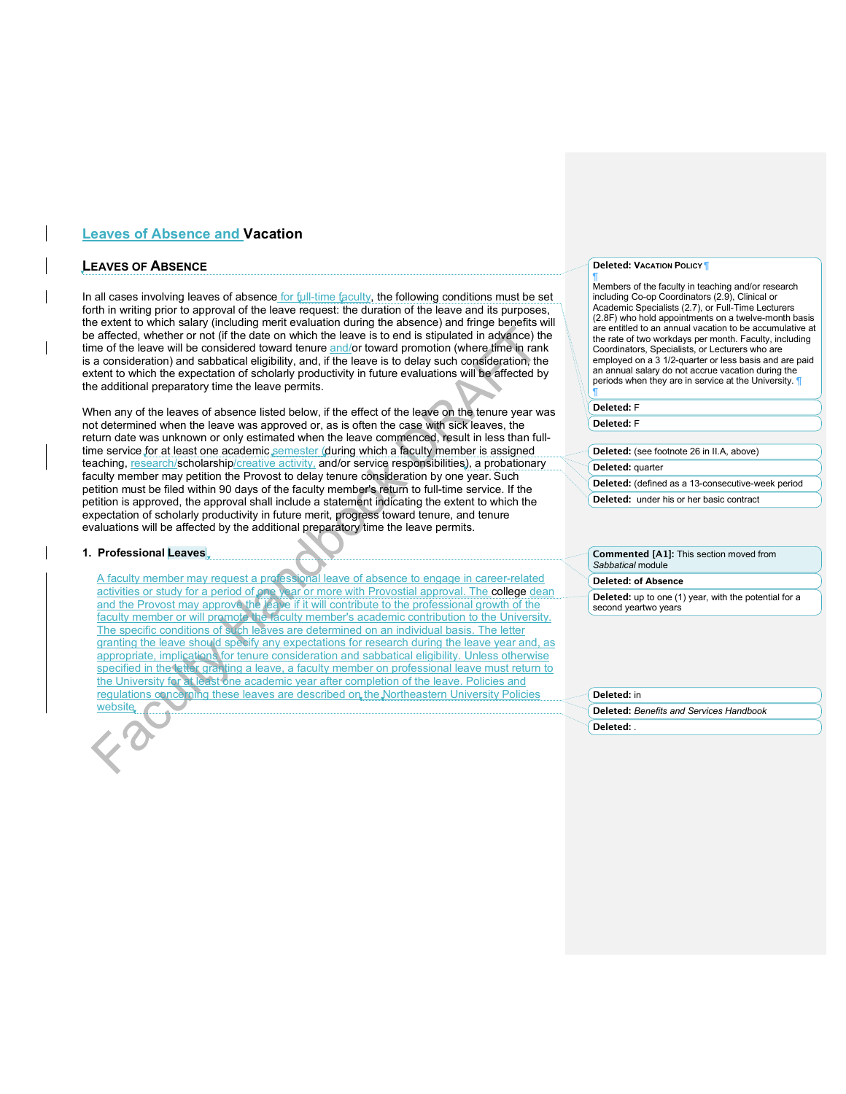# **Leaves of Absence and Vacation**

# **LEAVES OF ABSENCE**

In all cases involving leaves of absence for full-time faculty, the following conditions must be set forth in writing prior to approval of the leave request: the duration of the leave and its purposes, the extent to which salary (including merit evaluation during the absence) and fringe benefits will be affected, whether or not (if the date on which the leave is to end is stipulated in advance) the time of the leave will be considered toward tenure and/or toward promotion (where time in rank is a consideration) and sabbatical eligibility, and, if the leave is to delay such consideration, the extent to which the expectation of scholarly productivity in future evaluations will be affected by the additional preparatory time the leave permits.

When any of the leaves of absence listed below, if the effect of the leave on the tenure year was not determined when the leave was approved or, as is often the case with sick leaves, the return date was unknown or only estimated when the leave commenced, result in less than fulltime service for at least one academic semester (during which a faculty member is assigned teaching, research/scholarship/creative activity, and/or service responsibilities), a probationary faculty member may petition the Provost to delay tenure consideration by one year. Such petition must be filed within 90 days of the faculty member's return to full-time service. If the petition is approved, the approval shall include a statement indicating the extent to which the expectation of scholarly productivity in future merit, progress toward tenure, and tenure evaluations will be affected by the additional preparatory time the leave permits.

## **1. Professional Leaves**

A faculty member may request a professional leave of absence to engage in career-related activities or study for a period of one year or more with Provostial approval. The college dean and the Provost may approve the leave if it will contribute to the professional growth of the faculty member or will promote the faculty member's academic contribution to the University. The specific conditions of such leaves are determined on an individual basis. The letter granting the leave should specify any expectations for research during the leave year and, as appropriate, implications for tenure consideration and sabbatical eligibility. Unless otherwise specified in the letter granting a leave, a faculty member on professional leave must return to the University for at least one academic year after completion of the leave. Policies and regulations concerning these leaves are described on the Northeastern University Policies **website** 

#### **Deleted: VACATION POLICY** ¶ ¶

Members of the faculty in teaching and/or research including Co-op Coordinators (2.9), Clinical or Academic Specialists (2.7), or Full-Time Lecturers (2.8F) who hold appointments on a twelve-month basis are entitled to an annual vacation to be accumulative at the rate of two workdays per month. Faculty, including Coordinators, Specialists, or Lecturers who are employed on a 3 1/2-quarter or less basis and are paid an annual salary do not accrue vacation during the periods when they are in service at the University. ¶

#### **Deleted:** F

**Deleted:** F

¶

**Deleted:** (see footnote 26 in II.A, above)

### **Deleted:** quarter

**Deleted:** (defined as a 13-consecutive-week period

**Deleted:** under his or her basic contract

**Commented [A1]:** This section moved from *Sabbatical* module

#### **Deleted: of Absence**

**Deleted:** up to one (1) year, with the potential for a second yeartwo years

#### **Deleted:** in

**Deleted:** *Benefits and Services Handbook* **Deleted:** *.*